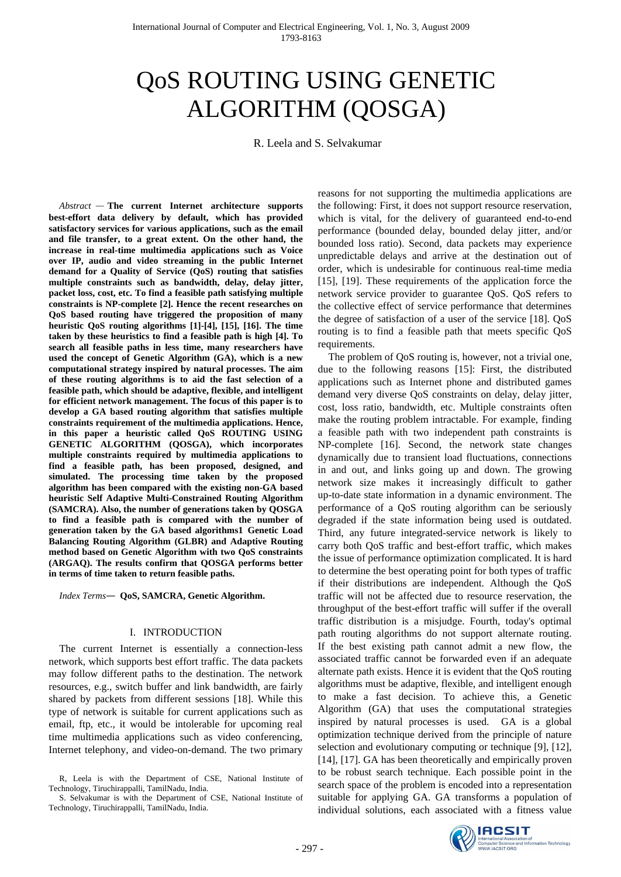# QoS ROUTING USING GENETIC ALGORITHM (QOSGA)

R. Leela and S. Selvakumar

*Abstract —* **The current Internet architecture supports best-effort data delivery by default, which has provided satisfactory services for various applications, such as the email and file transfer, to a great extent. On the other hand, the increase in real-time multimedia applications such as Voice over IP, audio and video streaming in the public Internet demand for a Quality of Service (QoS) routing that satisfies multiple constraints such as bandwidth, delay, delay jitter, packet loss, cost, etc. To find a feasible path satisfying multiple constraints is NP-complete [2]. Hence the recent researches on QoS based routing have triggered the proposition of many heuristic QoS routing algorithms [1]-[4], [15], [16]. The time taken by these heuristics to find a feasible path is high [4]. To search all feasible paths in less time, many researchers have used the concept of Genetic Algorithm (GA), which is a new computational strategy inspired by natural processes. The aim of these routing algorithms is to aid the fast selection of a feasible path, which should be adaptive, flexible, and intelligent for efficient network management. The focus of this paper is to develop a GA based routing algorithm that satisfies multiple constraints requirement of the multimedia applications. Hence, in this paper a heuristic called QoS ROUTING USING GENETIC ALGORITHM (QOSGA), which incorporates multiple constraints required by multimedia applications to find a feasible path, has been proposed, designed, and simulated. The processing time taken by the proposed algorithm has been compared with the existing non-GA based heuristic Self Adaptive Multi-Constrained Routing Algorithm (SAMCRA). Also, the number of generations taken by QOSGA to find a feasible path is compared with the number of generation taken by the GA based algorithms1 Genetic Load Balancing Routing Algorithm (GLBR) and Adaptive Routing method based on Genetic Algorithm with two QoS constraints (ARGAQ). The results confirm that QOSGA performs better in terms of time taken to return feasible paths.** 

*Index Terms***— QoS, SAMCRA, Genetic Algorithm.** 

#### I. INTRODUCTION

The current Internet is essentially a connection-less network, which supports best effort traffic. The data packets may follow different paths to the destination. The network resources, e.g., switch buffer and link bandwidth, are fairly shared by packets from different sessions [18]. While this type of network is suitable for current applications such as email, ftp, etc., it would be intolerable for upcoming real time multimedia applications such as video conferencing, Internet telephony, and video-on-demand. The two primary

R, Leela is with the Department of CSE, National Institute of Technology, Tiruchirappalli, TamilNadu, India.

S. Selvakumar is with the Department of CSE, National Institute of Technology, Tiruchirappalli, TamilNadu, India.

reasons for not supporting the multimedia applications are the following: First, it does not support resource reservation, which is vital, for the delivery of guaranteed end-to-end performance (bounded delay, bounded delay jitter, and/or bounded loss ratio). Second, data packets may experience unpredictable delays and arrive at the destination out of order, which is undesirable for continuous real-time media [15], [19]. These requirements of the application force the network service provider to guarantee QoS. QoS refers to the collective effect of service performance that determines the degree of satisfaction of a user of the service [18]. QoS routing is to find a feasible path that meets specific QoS requirements.

The problem of QoS routing is, however, not a trivial one, due to the following reasons [15]: First, the distributed applications such as Internet phone and distributed games demand very diverse QoS constraints on delay, delay jitter, cost, loss ratio, bandwidth, etc. Multiple constraints often make the routing problem intractable. For example, finding a feasible path with two independent path constraints is NP-complete [16]. Second, the network state changes dynamically due to transient load fluctuations, connections in and out, and links going up and down. The growing network size makes it increasingly difficult to gather up-to-date state information in a dynamic environment. The performance of a QoS routing algorithm can be seriously degraded if the state information being used is outdated. Third, any future integrated-service network is likely to carry both QoS traffic and best-effort traffic, which makes the issue of performance optimization complicated. It is hard to determine the best operating point for both types of traffic if their distributions are independent. Although the QoS traffic will not be affected due to resource reservation, the throughput of the best-effort traffic will suffer if the overall traffic distribution is a misjudge. Fourth, today's optimal path routing algorithms do not support alternate routing. If the best existing path cannot admit a new flow, the associated traffic cannot be forwarded even if an adequate alternate path exists. Hence it is evident that the QoS routing algorithms must be adaptive, flexible, and intelligent enough to make a fast decision. To achieve this, a Genetic Algorithm (GA) that uses the computational strategies inspired by natural processes is used. GA is a global optimization technique derived from the principle of nature selection and evolutionary computing or technique [9], [12], [14], [17]. GA has been theoretically and empirically proven to be robust search technique. Each possible point in the search space of the problem is encoded into a representation suitable for applying GA. GA transforms a population of individual solutions, each associated with a fitness value

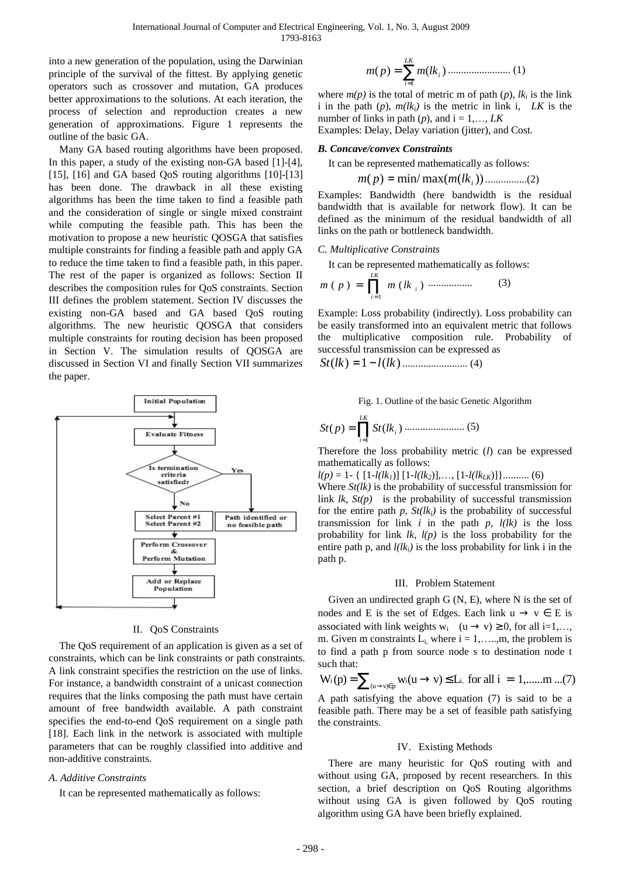into a new generation of the population, using the Darwinian principle of the survival of the fittest. By applying genetic operators such as crossover and mutation, GA produces better approximations to the solutions. At each iteration, the process of selection and reproduction creates a new generation of approximations. Figure 1 represents the outline of the basic GA.

Many GA based routing algorithms have been proposed. In this paper, a study of the existing non-GA based [1]-[4], [15], [16] and GA based QoS routing algorithms [10]-[13] has been done. The drawback in all these existing algorithms has been the time taken to find a feasible path and the consideration of single or single mixed constraint while computing the feasible path. This has been the motivation to propose a new heuristic QOSGA that satisfies multiple constraints for finding a feasible path and apply GA to reduce the time taken to find a feasible path, in this paper. The rest of the paper is organized as follows: Section II describes the composition rules for QoS constraints. Section III defines the problem statement. Section IV discusses the existing non-GA based and GA based QoS routing algorithms. The new heuristic QOSGA that considers multiple constraints for routing decision has been proposed in Section V. The simulation results of QOSGA are discussed in Section VI and finally Section VII summarizes the paper.



#### II. QoS Constraints

The QoS requirement of an application is given as a set of constraints, which can be link constraints or path constraints. A link constraint specifies the restriction on the use of links. For instance, a bandwidth constraint of a unicast connection requires that the links composing the path must have certain amount of free bandwidth available. A path constraint specifies the end-to-end QoS requirement on a single path [18]. Each link in the network is associated with multiple parameters that can be roughly classified into additive and non-additive constraints.

## *A. Additive Constraints*

It can be represented mathematically as follows:

∑= = *LK i <sup>i</sup> m p m lk* 1 ( ) ( ) ........................ (1)

where  $m(p)$  is the total of metric m of path  $(p)$ ,  $lk_i$  is the link i in the path  $(p)$ ,  $m(lk_i)$  is the metric in link i, *LK* is the number of links in path  $(p)$ , and  $i = 1, \ldots, LK$ 

Examples: Delay, Delay variation (jitter), and Cost.

## *B. Concave/convex Constraints*

It can be represented mathematically as follows:

$$
m(p) = \min/\max(m(lk_i)) \dots \dots \dots \dots \dots (2)
$$

Examples: Bandwidth (here bandwidth is the residual bandwidth that is available for network flow). It can be defined as the minimum of the residual bandwidth of all links on the path or bottleneck bandwidth.

#### *C. Multiplicative Constraints*

It can be represented mathematically as follows:

$$
m(p) = \prod_{i=1}^{lK} m(lk_i) \dots (3)
$$

Example: Loss probability (indirectly). Loss probability can be easily transformed into an equivalent metric that follows the multiplicative composition rule. Probability of successful transmission can be expressed as *St*(*lk*) = 1− *l*(*lk*)......................... (4)

Fig. 1. Outline of the basic Genetic Algorithm

$$
St(p) = \prod_{i=1}^{LK} St(lk_i) \dots (5)
$$

Therefore the loss probability metric (*l*) can be expressed mathematically as follows:

 $l(p) = 1 - \{ [1-l(lk_1)] [1-l(lk_2)], \ldots, [1-l(lk_{LK})] \}$ .......... (6) Where *St(lk)* is the probability of successful transmission for link *lk, St(p)* is the probability of successful transmission for the entire path  $p$ ,  $St(lk_i)$  is the probability of successful transmission for link  $i$  in the path  $p$ ,  $l(lk)$  is the loss probability for link *lk, l(p)* is the loss probability for the entire path p, and  $l(lk_i)$  is the loss probability for link i in the path p.

#### III. Problem Statement

Given an undirected graph  $G(N, E)$ , where N is the set of nodes and E is the set of Edges. Each link  $u \rightarrow v \in E$  is associated with link weights  $w_i$   $(u \rightarrow v) \ge 0$ , for all i=1,..., m. Given m constraints  $L_i$ , where  $i = 1, \ldots, m$ , the problem is to find a path p from source node s to destination node t such that:

$$
W_i(p) = \sum_{(u \to v) \in p} w_i(u \to v) \le L_i, \text{ for all } i = 1, \dots, m \dots (7)
$$

A path satisfying the above equation (7) is said to be a feasible path. There may be a set of feasible path satisfying the constraints.

#### IV. Existing Methods

There are many heuristic for QoS routing with and without using GA, proposed by recent researchers. In this section, a brief description on QoS Routing algorithms without using GA is given followed by QoS routing algorithm using GA have been briefly explained.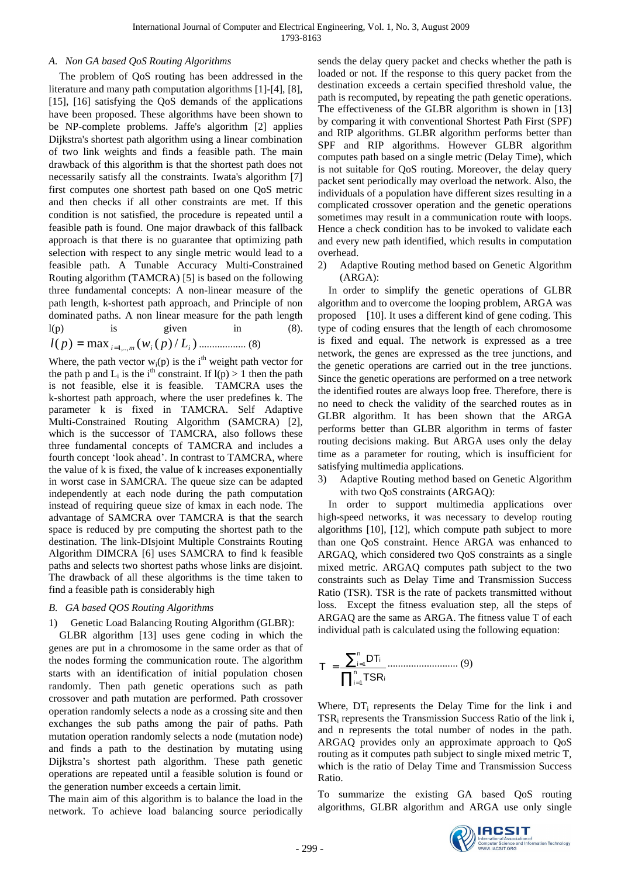## *A. Non GA based QoS Routing Algorithms*

The problem of QoS routing has been addressed in the literature and many path computation algorithms [1]-[4], [8], [15], [16] satisfying the QoS demands of the applications have been proposed. These algorithms have been shown to be NP-complete problems. Jaffe's algorithm [2] applies Dijkstra's shortest path algorithm using a linear combination of two link weights and finds a feasible path. The main drawback of this algorithm is that the shortest path does not necessarily satisfy all the constraints. Iwata's algorithm [7] first computes one shortest path based on one QoS metric and then checks if all other constraints are met. If this condition is not satisfied, the procedure is repeated until a feasible path is found. One major drawback of this fallback approach is that there is no guarantee that optimizing path selection with respect to any single metric would lead to a feasible path. A Tunable Accuracy Multi-Constrained Routing algorithm (TAMCRA) [5] is based on the following three fundamental concepts: A non-linear measure of the path length, k-shortest path approach, and Principle of non dominated paths. A non linear measure for the path length  $l(p)$  is given in (8).

( ) max ( ( ) / ) *<sup>i</sup>* 1,..,*<sup>m</sup> <sup>i</sup> L<sup>i</sup> l p w p* = <sup>=</sup> .................. (8)

Where, the path vector  $w_i(p)$  is the i<sup>th</sup> weight path vector for the path p and  $L_i$  is the i<sup>th</sup> constraint. If  $l(p) > 1$  then the path is not feasible, else it is feasible. TAMCRA uses the k-shortest path approach, where the user predefines k. The parameter k is fixed in TAMCRA. Self Adaptive Multi-Constrained Routing Algorithm (SAMCRA) [2], which is the successor of TAMCRA, also follows these three fundamental concepts of TAMCRA and includes a fourth concept 'look ahead'. In contrast to TAMCRA, where the value of k is fixed, the value of k increases exponentially in worst case in SAMCRA. The queue size can be adapted independently at each node during the path computation instead of requiring queue size of kmax in each node. The advantage of SAMCRA over TAMCRA is that the search space is reduced by pre computing the shortest path to the destination. The link-DIsjoint Multiple Constraints Routing Algorithm DIMCRA [6] uses SAMCRA to find k feasible paths and selects two shortest paths whose links are disjoint. The drawback of all these algorithms is the time taken to find a feasible path is considerably high

# *B. GA based QOS Routing Algorithms*

# 1) Genetic Load Balancing Routing Algorithm (GLBR):

GLBR algorithm [13] uses gene coding in which the genes are put in a chromosome in the same order as that of the nodes forming the communication route. The algorithm starts with an identification of initial population chosen randomly. Then path genetic operations such as path crossover and path mutation are performed. Path crossover operation randomly selects a node as a crossing site and then exchanges the sub paths among the pair of paths. Path mutation operation randomly selects a node (mutation node) and finds a path to the destination by mutating using Dijkstra's shortest path algorithm. These path genetic operations are repeated until a feasible solution is found or the generation number exceeds a certain limit.

The main aim of this algorithm is to balance the load in the network. To achieve load balancing source periodically

sends the delay query packet and checks whether the path is loaded or not. If the response to this query packet from the destination exceeds a certain specified threshold value, the path is recomputed, by repeating the path genetic operations. The effectiveness of the GLBR algorithm is shown in [13] by comparing it with conventional Shortest Path First (SPF) and RIP algorithms. GLBR algorithm performs better than SPF and RIP algorithms. However GLBR algorithm computes path based on a single metric (Delay Time), which is not suitable for QoS routing. Moreover, the delay query packet sent periodically may overload the network. Also, the individuals of a population have different sizes resulting in a complicated crossover operation and the genetic operations sometimes may result in a communication route with loops. Hence a check condition has to be invoked to validate each and every new path identified, which results in computation overhead.

2) Adaptive Routing method based on Genetic Algorithm (ARGA):

In order to simplify the genetic operations of GLBR algorithm and to overcome the looping problem, ARGA was proposed [10]. It uses a different kind of gene coding. This type of coding ensures that the length of each chromosome is fixed and equal. The network is expressed as a tree network, the genes are expressed as the tree junctions, and the genetic operations are carried out in the tree junctions. Since the genetic operations are performed on a tree network the identified routes are always loop free. Therefore, there is no need to check the validity of the searched routes as in GLBR algorithm. It has been shown that the ARGA performs better than GLBR algorithm in terms of faster routing decisions making. But ARGA uses only the delay time as a parameter for routing, which is insufficient for satisfying multimedia applications.

3) Adaptive Routing method based on Genetic Algorithm with two QoS constraints (ARGAQ):

In order to support multimedia applications over high-speed networks, it was necessary to develop routing algorithms [10], [12], which compute path subject to more than one QoS constraint. Hence ARGA was enhanced to ARGAQ, which considered two QoS constraints as a single mixed metric. ARGAQ computes path subject to the two constraints such as Delay Time and Transmission Success Ratio (TSR). TSR is the rate of packets transmitted without loss. Except the fitness evaluation step, all the steps of ARGAQ are the same as ARGA. The fitness value T of each individual path is calculated using the following equation:

∏ ∑ = <sup>=</sup> = <sup>n</sup> i 1 i i n i 1 TSR DT T ........................... (9)

Where,  $DT_i$  represents the Delay Time for the link i and  $TSR<sub>i</sub>$  represents the Transmission Success Ratio of the link i, and n represents the total number of nodes in the path. ARGAQ provides only an approximate approach to QoS routing as it computes path subject to single mixed metric T, which is the ratio of Delay Time and Transmission Success Ratio.

To summarize the existing GA based QoS routing algorithms, GLBR algorithm and ARGA use only single

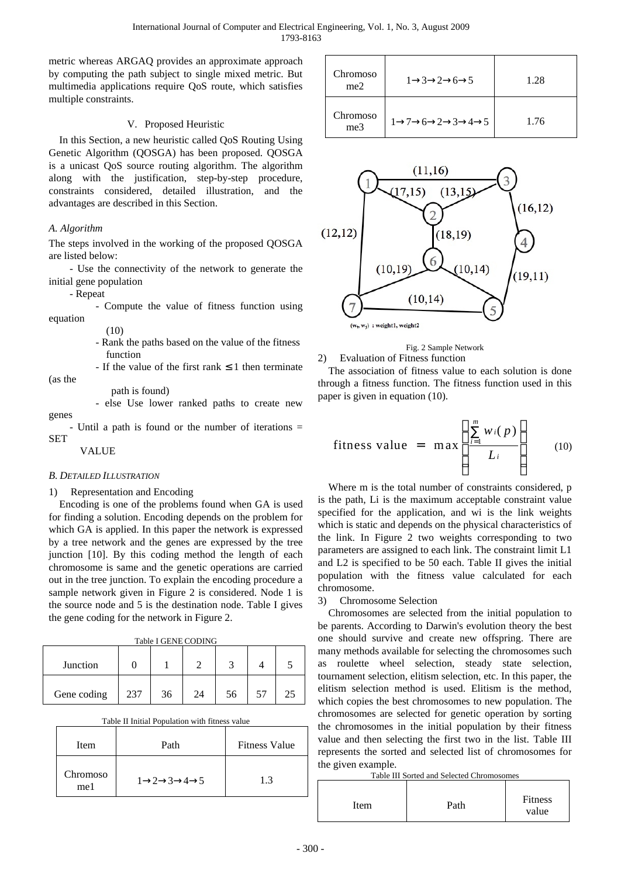metric whereas ARGAQ provides an approximate approach by computing the path subject to single mixed metric. But multimedia applications require QoS route, which satisfies multiple constraints.

## V. Proposed Heuristic

In this Section, a new heuristic called QoS Routing Using Genetic Algorithm (QOSGA) has been proposed. QOSGA is a unicast QoS source routing algorithm. The algorithm along with the justification, step-by-step procedure, constraints considered, detailed illustration, and the advantages are described in this Section.

# *A. Algorithm*

The steps involved in the working of the proposed QOSGA are listed below:

 - Use the connectivity of the network to generate the initial gene population

- Repeat

 - Compute the value of fitness function using equation

(10)

 - Rank the paths based on the value of the fitness function - If the value of the first rank  $\leq 1$  then terminate

(as the

path is found)

 - else Use lower ranked paths to create new genes

 - Until a path is found or the number of iterations = SET

VALUE

## *B. DETAILED ILLUSTRATION*

## 1) Representation and Encoding

Encoding is one of the problems found when GA is used for finding a solution. Encoding depends on the problem for which GA is applied. In this paper the network is expressed by a tree network and the genes are expressed by the tree junction [10]. By this coding method the length of each chromosome is same and the genetic operations are carried out in the tree junction. To explain the encoding procedure a sample network given in Figure 2 is considered. Node 1 is the source node and 5 is the destination node. Table I gives the gene coding for the network in Figure 2.

| Table I GENE CODING |
|---------------------|
|---------------------|

| Junction    |     |    |    |    |    |  |
|-------------|-----|----|----|----|----|--|
| Gene coding | 237 | 36 | 24 | 56 | 57 |  |

Table II Initial Population with fitness value

| Item            | Path                                                    | <b>Fitness Value</b> |
|-----------------|---------------------------------------------------------|----------------------|
| Chromoso<br>me1 | $1\rightarrow 2\rightarrow 3\rightarrow 4\rightarrow 5$ | 1.3                  |

| Chromoso<br>me2 | $1\rightarrow 3\rightarrow 2\rightarrow 6\rightarrow 5$                           | 1.28 |
|-----------------|-----------------------------------------------------------------------------------|------|
| Chromoso<br>me3 | $1\rightarrow 7\rightarrow 6\rightarrow 2\rightarrow 3\rightarrow 4\rightarrow 5$ | 1.76 |





The association of fitness value to each solution is done through a fitness function. The fitness function used in this paper is given in equation (10).

$$
\text{fitness value} = \max \left( \frac{\sum_{i=1}^{m} w_i(p)}{L_i} \right) \qquad (10)
$$

Where m is the total number of constraints considered, p is the path, Li is the maximum acceptable constraint value specified for the application, and wi is the link weights which is static and depends on the physical characteristics of the link. In Figure 2 two weights corresponding to two parameters are assigned to each link. The constraint limit L1 and L2 is specified to be 50 each. Table II gives the initial population with the fitness value calculated for each chromosome.

## 3) Chromosome Selection

Chromosomes are selected from the initial population to be parents. According to Darwin's evolution theory the best one should survive and create new offspring. There are many methods available for selecting the chromosomes such as roulette wheel selection, steady state selection, tournament selection, elitism selection, etc. In this paper, the elitism selection method is used. Elitism is the method, which copies the best chromosomes to new population. The chromosomes are selected for genetic operation by sorting the chromosomes in the initial population by their fitness value and then selecting the first two in the list. Table III represents the sorted and selected list of chromosomes for the given example.

|  |  |  | Table III Sorted and Selected Chromosomes |
|--|--|--|-------------------------------------------|

| Item | Path | Fitness<br>value |
|------|------|------------------|
|------|------|------------------|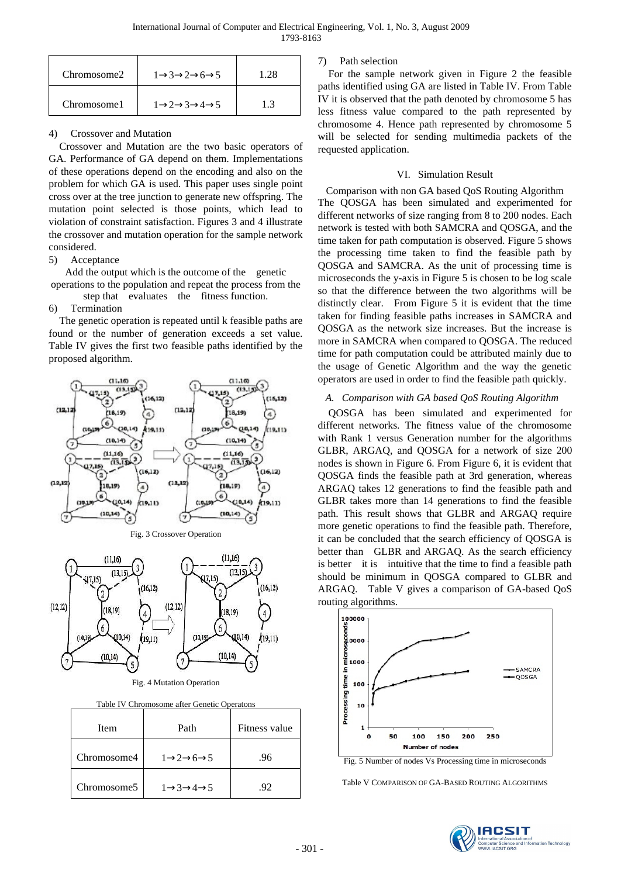| Chromosome2 | $1\rightarrow 3\rightarrow 2\rightarrow 6\rightarrow 5$ | 1 28 |
|-------------|---------------------------------------------------------|------|
| Chromosome1 | $1\rightarrow 2\rightarrow 3\rightarrow 4\rightarrow 5$ | 13   |

## 4) Crossover and Mutation

Crossover and Mutation are the two basic operators of GA. Performance of GA depend on them. Implementations of these operations depend on the encoding and also on the problem for which GA is used. This paper uses single point cross over at the tree junction to generate new offspring. The mutation point selected is those points, which lead to violation of constraint satisfaction. Figures 3 and 4 illustrate the crossover and mutation operation for the sample network considered.

## 5) Acceptance

Add the output which is the outcome of the genetic operations to the population and repeat the process from the

step that evaluates the fitness function.

## 6) Termination

The genetic operation is repeated until k feasible paths are found or the number of generation exceeds a set value. Table IV gives the first two feasible paths identified by the proposed algorithm.





Fig. 4 Mutation Operation

| Item        | Path                                       | Fitness value |
|-------------|--------------------------------------------|---------------|
| Chromosome4 | $1\rightarrow 2\rightarrow 6\rightarrow 5$ | .96           |
| Chromosome5 | $1\rightarrow 3\rightarrow 4\rightarrow 5$ | .92           |

## 7) Path selection

For the sample network given in Figure 2 the feasible paths identified using GA are listed in Table IV. From Table IV it is observed that the path denoted by chromosome 5 has less fitness value compared to the path represented by chromosome 4. Hence path represented by chromosome 5 will be selected for sending multimedia packets of the requested application.

#### VI. Simulation Result

Comparison with non GA based QoS Routing Algorithm The QOSGA has been simulated and experimented for different networks of size ranging from 8 to 200 nodes. Each network is tested with both SAMCRA and QOSGA, and the time taken for path computation is observed. Figure 5 shows the processing time taken to find the feasible path by QOSGA and SAMCRA. As the unit of processing time is microseconds the y-axis in Figure 5 is chosen to be log scale so that the difference between the two algorithms will be distinctly clear. From Figure 5 it is evident that the time taken for finding feasible paths increases in SAMCRA and QOSGA as the network size increases. But the increase is more in SAMCRA when compared to QOSGA. The reduced time for path computation could be attributed mainly due to the usage of Genetic Algorithm and the way the genetic operators are used in order to find the feasible path quickly.

## *A. Comparison with GA based QoS Routing Algorithm*

QOSGA has been simulated and experimented for different networks. The fitness value of the chromosome with Rank 1 versus Generation number for the algorithms GLBR, ARGAQ, and QOSGA for a network of size 200 nodes is shown in Figure 6. From Figure 6, it is evident that QOSGA finds the feasible path at 3rd generation, whereas ARGAQ takes 12 generations to find the feasible path and GLBR takes more than 14 generations to find the feasible path. This result shows that GLBR and ARGAQ require more genetic operations to find the feasible path. Therefore, it can be concluded that the search efficiency of QOSGA is better than GLBR and ARGAQ. As the search efficiency is better it is intuitive that the time to find a feasible path should be minimum in QOSGA compared to GLBR and ARGAQ. Table V gives a comparison of GA-based QoS routing algorithms.



Fig. 5 Number of nodes Vs Processing time in microseconds

Table V COMPARISON OF GA-BASED ROUTING ALGORITHMS